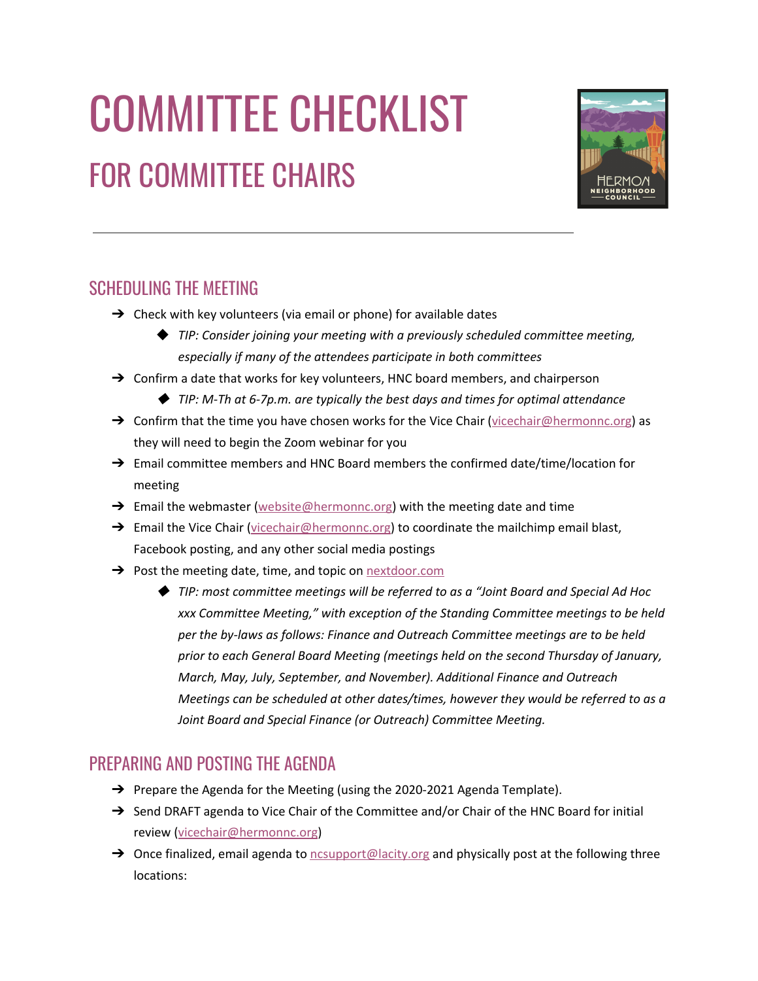# COMMITTEE CHECKLIST FOR COMMITTEE CHAIRS



# SCHEDULING THE MEETING

- $\rightarrow$  Check with key volunteers (via email or phone) for available dates
	- ◆ *TIP: Consider joining your meeting with a previously scheduled committee meeting, especially if many of the attendees participate in both committees*
- $\rightarrow$  Confirm a date that works for key volunteers, HNC board members, and chairperson
	- ◆ *TIP: M-Th at 6-7p.m. are typically the best days and times for optimal attendance*
- $\rightarrow$  Confirm that the time you have chosen works for the Vice Chair (vicechair @hermonnc.org) as they will need to begin the Zoom webinar for you
- → Email committee members and HNC Board members the confirmed date/time/location for meeting
- $\rightarrow$  Email the webmaster [\(website@hermonnc.org\)](mailto:website@hermonnc.org) with the meeting date and time
- → Email the Vice Chair [\(vicechair@hermonnc.org\)](mailto:vicechair@hermonnc.org) to coordinate the mailchimp email blast, Facebook posting, and any other social media postings
- → Post the meeting date, time, and topic on [nextdoor.com](https://nextdoor.com/)
	- ◆ *TIP: most committee meetings will be referred to as a "Joint Board and Special Ad Hoc xxx Committee Meeting," with exception of the Standing Committee meetings to be held per the by-laws as follows: Finance and Outreach Committee meetings are to be held prior to each General Board Meeting (meetings held on the second Thursday of January, March, May, July, September, and November). Additional Finance and Outreach Meetings can be scheduled at other dates/times, however they would be referred to as a Joint Board and Special Finance (or Outreach) Committee Meeting.*

# PREPARING AND POSTING THE AGENDA

- → Prepare the Agenda for the Meeting (using the 2020-2021 Agenda Template).
- → Send DRAFT agenda to Vice Chair of the Committee and/or Chair of the HNC Board for initial review ([vicechair@hermonnc.org](mailto:vicechair@hermonnc.org))
- → Once finalized, email agenda to nesupport@lacity.org and physically post at the following three locations: